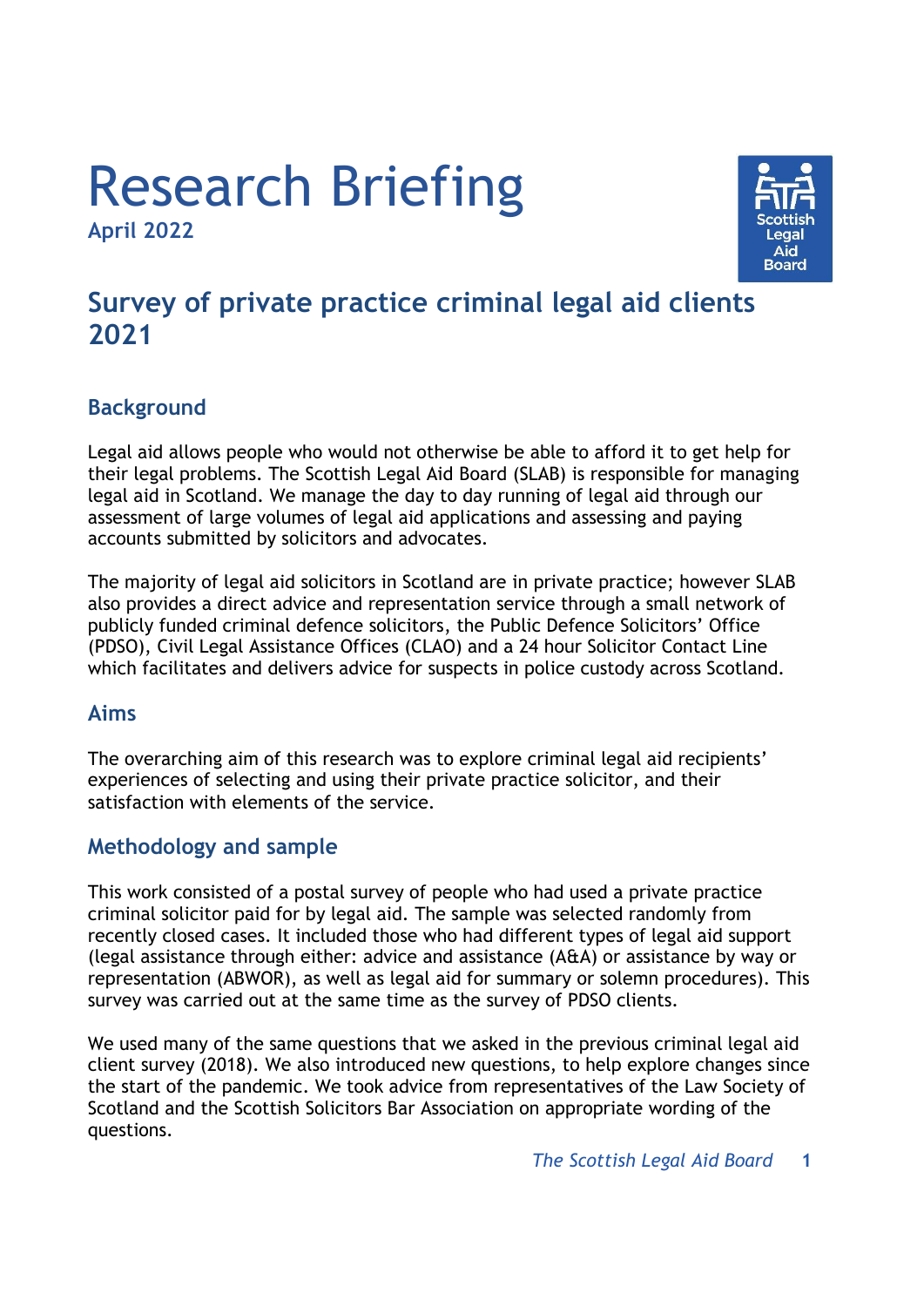# Research Briefing **April 2022**



## **Survey of private practice criminal legal aid clients 2021**

## **Background**

Legal aid allows people who would not otherwise be able to afford it to get help for their legal problems. The Scottish Legal Aid Board (SLAB) is responsible for managing legal aid in Scotland. We manage the day to day running of legal aid through our assessment of large volumes of legal aid applications and assessing and paying accounts submitted by solicitors and advocates.

The majority of legal aid solicitors in Scotland are in private practice; however SLAB also provides a direct advice and representation service through a small network of publicly funded criminal defence solicitors, the Public Defence Solicitors' Office (PDSO), Civil Legal Assistance Offices (CLAO) and a 24 hour Solicitor Contact Line which facilitates and delivers advice for suspects in police custody across Scotland.

#### **Aims**

The overarching aim of this research was to explore criminal legal aid recipients' experiences of selecting and using their private practice solicitor, and their satisfaction with elements of the service.

## **Methodology and sample**

This work consisted of a postal survey of people who had used a private practice criminal solicitor paid for by legal aid. The sample was selected randomly from recently closed cases. It included those who had different types of legal aid support (legal assistance through either: advice and assistance (A&A) or assistance by way or representation (ABWOR), as well as legal aid for summary or solemn procedures). This survey was carried out at the same time as the survey of PDSO clients.

We used many of the same questions that we asked in the previous criminal legal aid client survey (2018). We also introduced new questions, to help explore changes since the start of the pandemic. We took advice from representatives of the Law Society of Scotland and the Scottish Solicitors Bar Association on appropriate wording of the questions.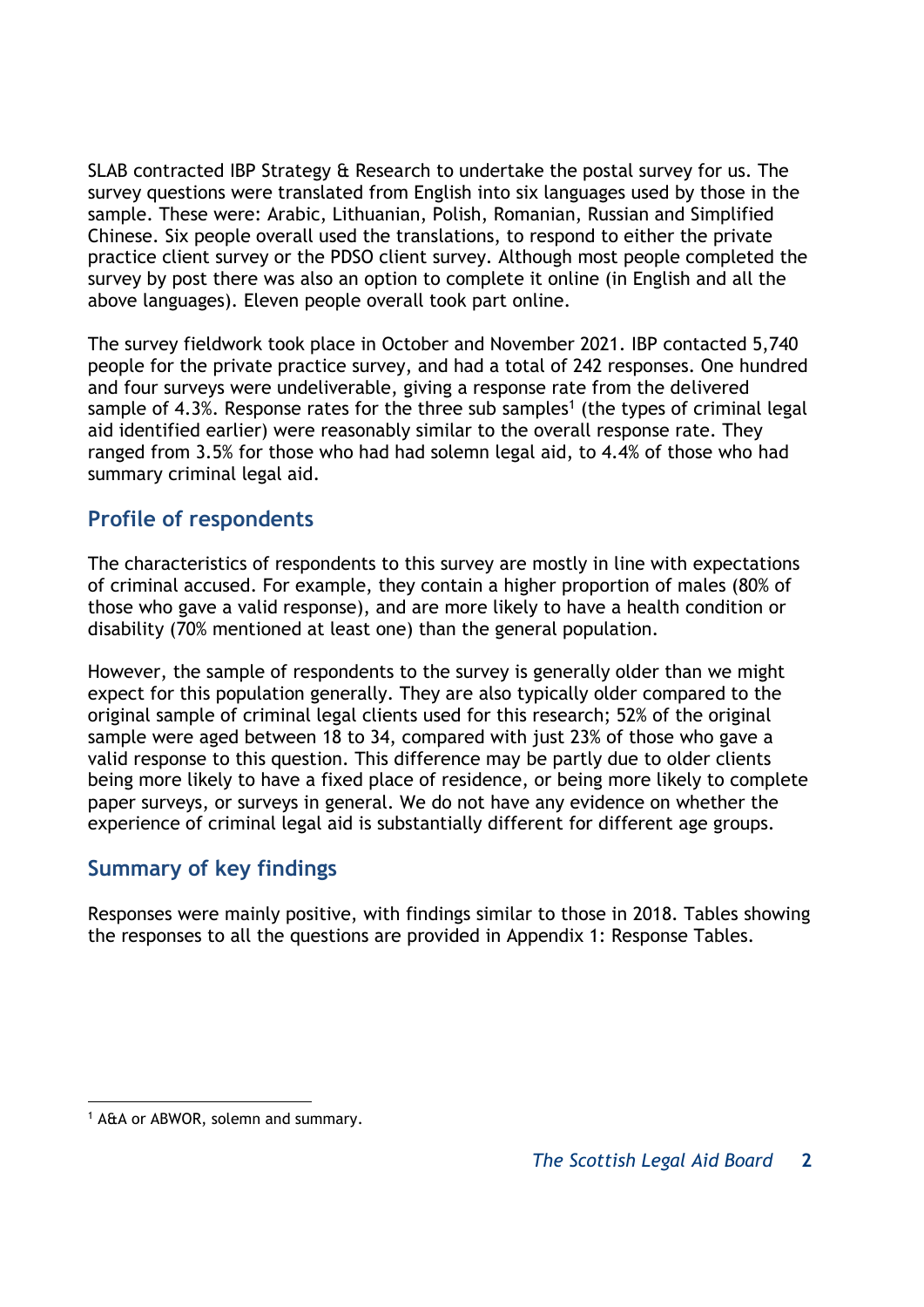SLAB contracted IBP Strategy & Research to undertake the postal survey for us. The survey questions were translated from English into six languages used by those in the sample. These were: Arabic, Lithuanian, Polish, Romanian, Russian and Simplified Chinese. Six people overall used the translations, to respond to either the private practice client survey or the PDSO client survey. Although most people completed the survey by post there was also an option to complete it online (in English and all the above languages). Eleven people overall took part online.

The survey fieldwork took place in October and November 2021. IBP contacted 5,740 people for the private practice survey, and had a total of 242 responses. One hundred and four surveys were undeliverable, giving a response rate from the delivered sample of 4.3%. Response rates for the three sub samples<sup>1</sup> (the types of criminal legal aid identified earlier) were reasonably similar to the overall response rate. They ranged from 3.5% for those who had had solemn legal aid, to 4.4% of those who had summary criminal legal aid.

## **Profile of respondents**

The characteristics of respondents to this survey are mostly in line with expectations of criminal accused. For example, they contain a higher proportion of males (80% of those who gave a valid response), and are more likely to have a health condition or disability (70% mentioned at least one) than the general population.

However, the sample of respondents to the survey is generally older than we might expect for this population generally. They are also typically older compared to the original sample of criminal legal clients used for this research; 52% of the original sample were aged between 18 to 34, compared with just 23% of those who gave a valid response to this question. This difference may be partly due to older clients being more likely to have a fixed place of residence, or being more likely to complete paper surveys, or surveys in general. We do not have any evidence on whether the experience of criminal legal aid is substantially different for different age groups.

## **Summary of key findings**

Responses were mainly positive, with findings similar to those in 2018. Tables showing the responses to all the questions are provided in Appendix 1: Response Tables.

 $\overline{a}$ <sup>1</sup> A&A or ABWOR, solemn and summary.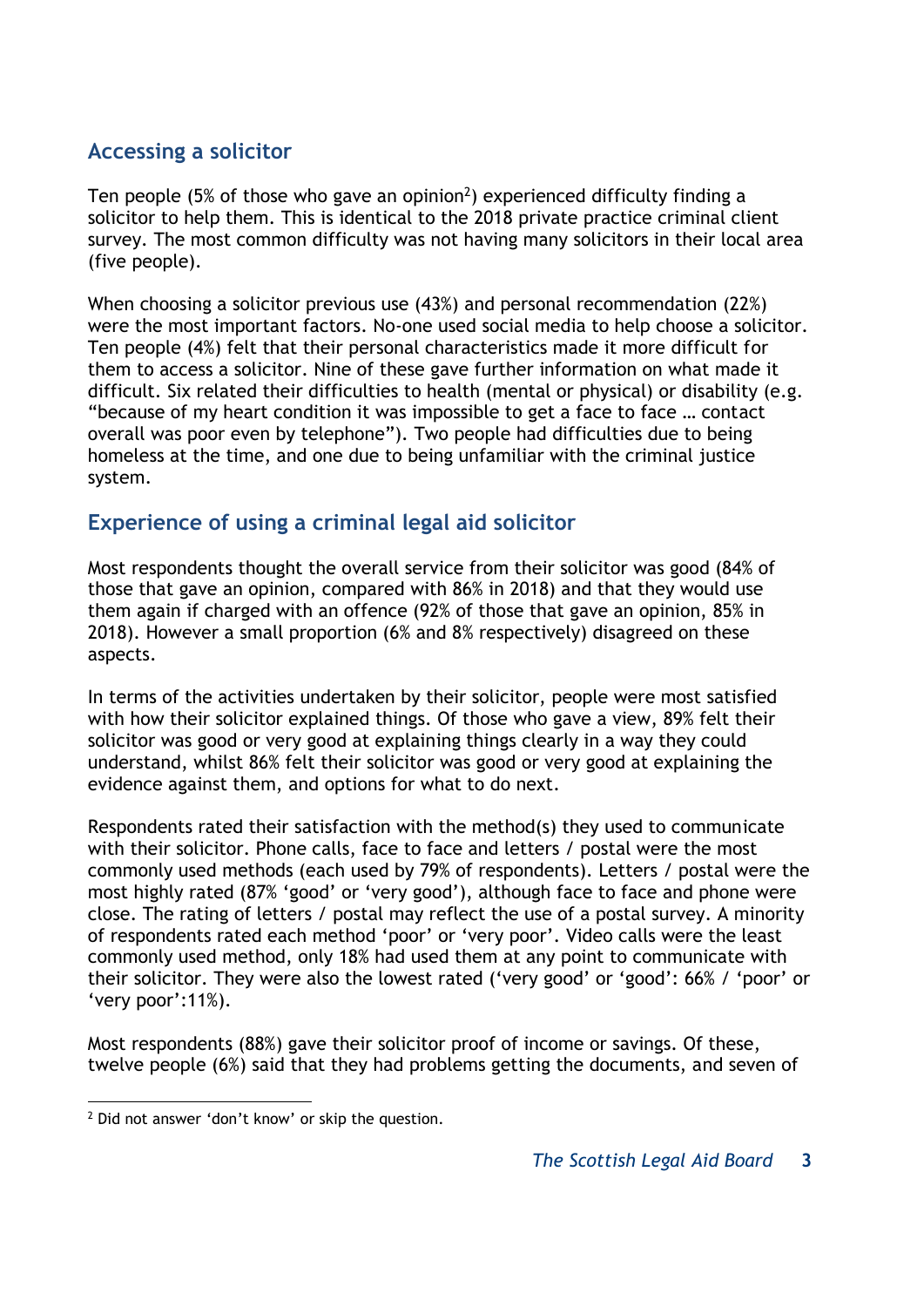## **Accessing a solicitor**

Ten people (5% of those who gave an opinion<sup>2</sup>) experienced difficulty finding a solicitor to help them. This is identical to the 2018 private practice criminal client survey. The most common difficulty was not having many solicitors in their local area (five people).

When choosing a solicitor previous use (43%) and personal recommendation (22%) were the most important factors. No-one used social media to help choose a solicitor. Ten people (4%) felt that their personal characteristics made it more difficult for them to access a solicitor. Nine of these gave further information on what made it difficult. Six related their difficulties to health (mental or physical) or disability (e.g. "because of my heart condition it was impossible to get a face to face … contact overall was poor even by telephone"). Two people had difficulties due to being homeless at the time, and one due to being unfamiliar with the criminal justice system.

## **Experience of using a criminal legal aid solicitor**

Most respondents thought the overall service from their solicitor was good (84% of those that gave an opinion, compared with 86% in 2018) and that they would use them again if charged with an offence (92% of those that gave an opinion, 85% in 2018). However a small proportion (6% and 8% respectively) disagreed on these aspects.

In terms of the activities undertaken by their solicitor, people were most satisfied with how their solicitor explained things. Of those who gave a view, 89% felt their solicitor was good or very good at explaining things clearly in a way they could understand, whilst 86% felt their solicitor was good or very good at explaining the evidence against them, and options for what to do next.

Respondents rated their satisfaction with the method(s) they used to communicate with their solicitor. Phone calls, face to face and letters / postal were the most commonly used methods (each used by 79% of respondents). Letters / postal were the most highly rated (87% 'good' or 'very good'), although face to face and phone were close. The rating of letters / postal may reflect the use of a postal survey. A minority of respondents rated each method 'poor' or 'very poor'. Video calls were the least commonly used method, only 18% had used them at any point to communicate with their solicitor. They were also the lowest rated ('very good' or 'good': 66% / 'poor' or 'very poor':11%).

Most respondents (88%) gave their solicitor proof of income or savings. Of these, twelve people (6%) said that they had problems getting the documents, and seven of

 $\overline{a}$ 

<sup>&</sup>lt;sup>2</sup> Did not answer 'don't know' or skip the question.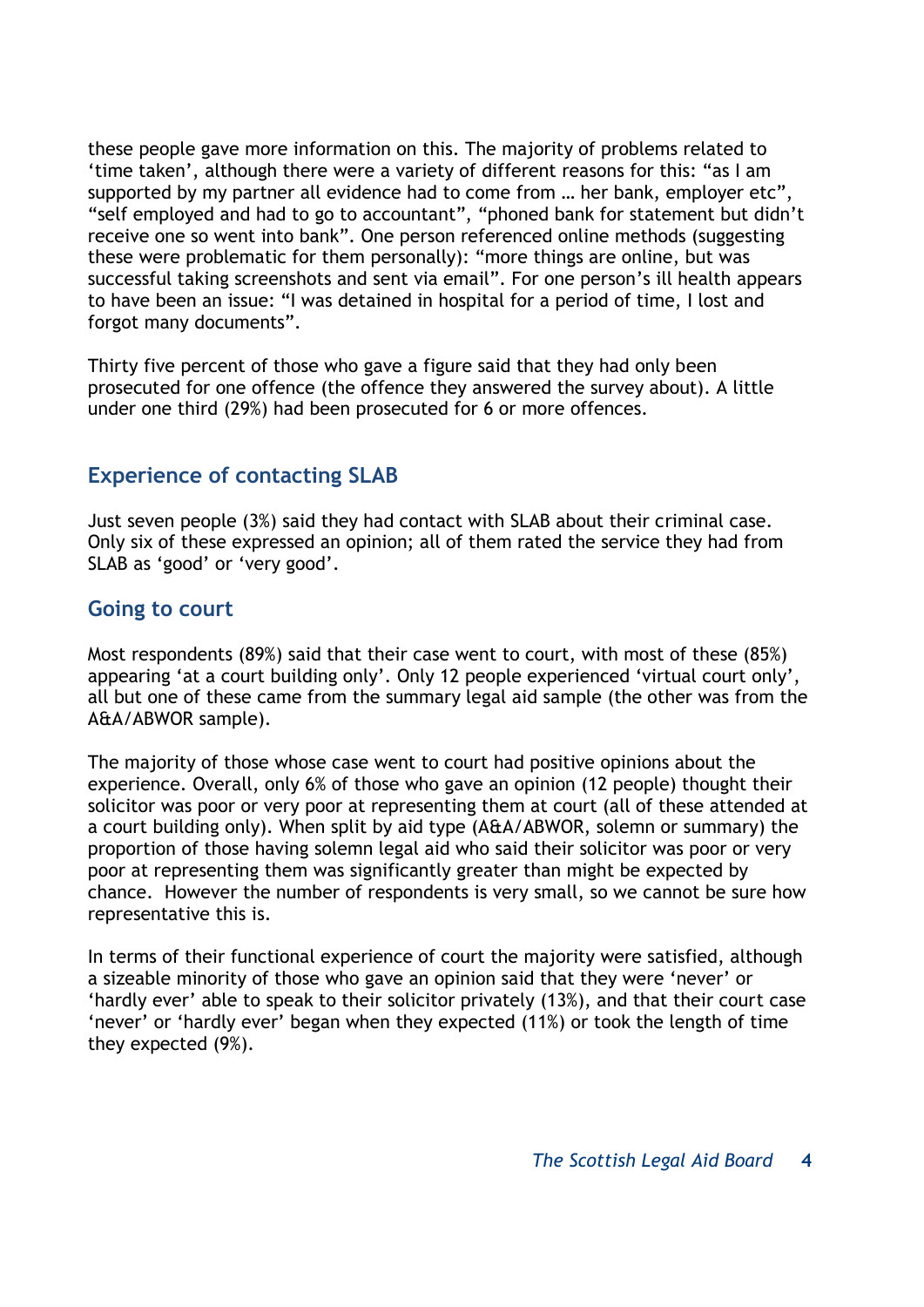these people gave more information on this. The majority of problems related to 'time taken', although there were a variety of different reasons for this: "as I am supported by my partner all evidence had to come from … her bank, employer etc", "self employed and had to go to accountant", "phoned bank for statement but didn't receive one so went into bank". One person referenced online methods (suggesting these were problematic for them personally): "more things are online, but was successful taking screenshots and sent via email". For one person's ill health appears to have been an issue: "I was detained in hospital for a period of time, I lost and forgot many documents".

Thirty five percent of those who gave a figure said that they had only been prosecuted for one offence (the offence they answered the survey about). A little under one third (29%) had been prosecuted for 6 or more offences.

## **Experience of contacting SLAB**

Just seven people (3%) said they had contact with SLAB about their criminal case. Only six of these expressed an opinion; all of them rated the service they had from SLAB as 'good' or 'very good'.

#### **Going to court**

Most respondents (89%) said that their case went to court, with most of these (85%) appearing 'at a court building only'. Only 12 people experienced 'virtual court only', all but one of these came from the summary legal aid sample (the other was from the A&A/ABWOR sample).

The majority of those whose case went to court had positive opinions about the experience. Overall, only 6% of those who gave an opinion (12 people) thought their solicitor was poor or very poor at representing them at court (all of these attended at a court building only). When split by aid type (A&A/ABWOR, solemn or summary) the proportion of those having solemn legal aid who said their solicitor was poor or very poor at representing them was significantly greater than might be expected by chance. However the number of respondents is very small, so we cannot be sure how representative this is.

In terms of their functional experience of court the majority were satisfied, although a sizeable minority of those who gave an opinion said that they were 'never' or 'hardly ever' able to speak to their solicitor privately (13%), and that their court case 'never' or 'hardly ever' began when they expected (11%) or took the length of time they expected (9%).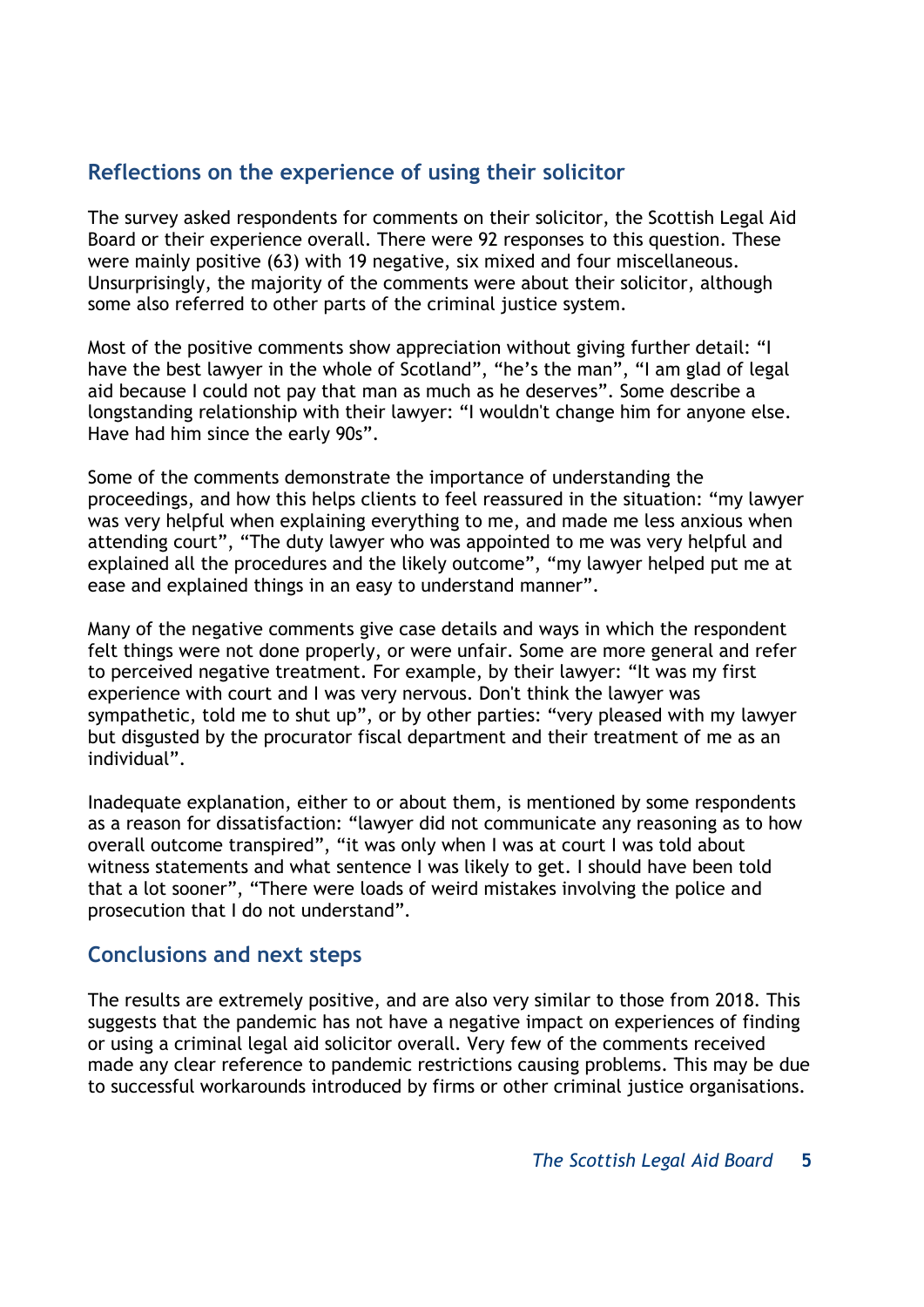## **Reflections on the experience of using their solicitor**

The survey asked respondents for comments on their solicitor, the Scottish Legal Aid Board or their experience overall. There were 92 responses to this question. These were mainly positive (63) with 19 negative, six mixed and four miscellaneous. Unsurprisingly, the majority of the comments were about their solicitor, although some also referred to other parts of the criminal justice system.

Most of the positive comments show appreciation without giving further detail: "I have the best lawyer in the whole of Scotland", "he's the man", "I am glad of legal aid because I could not pay that man as much as he deserves". Some describe a longstanding relationship with their lawyer: "I wouldn't change him for anyone else. Have had him since the early 90s".

Some of the comments demonstrate the importance of understanding the proceedings, and how this helps clients to feel reassured in the situation: "my lawyer was very helpful when explaining everything to me, and made me less anxious when attending court", "The duty lawyer who was appointed to me was very helpful and explained all the procedures and the likely outcome", "my lawyer helped put me at ease and explained things in an easy to understand manner".

Many of the negative comments give case details and ways in which the respondent felt things were not done properly, or were unfair. Some are more general and refer to perceived negative treatment. For example, by their lawyer: "It was my first experience with court and I was very nervous. Don't think the lawyer was sympathetic, told me to shut up", or by other parties: "very pleased with my lawyer but disgusted by the procurator fiscal department and their treatment of me as an individual".

Inadequate explanation, either to or about them, is mentioned by some respondents as a reason for dissatisfaction: "lawyer did not communicate any reasoning as to how overall outcome transpired", "it was only when I was at court I was told about witness statements and what sentence I was likely to get. I should have been told that a lot sooner", "There were loads of weird mistakes involving the police and prosecution that I do not understand".

#### **Conclusions and next steps**

The results are extremely positive, and are also very similar to those from 2018. This suggests that the pandemic has not have a negative impact on experiences of finding or using a criminal legal aid solicitor overall. Very few of the comments received made any clear reference to pandemic restrictions causing problems. This may be due to successful workarounds introduced by firms or other criminal justice organisations.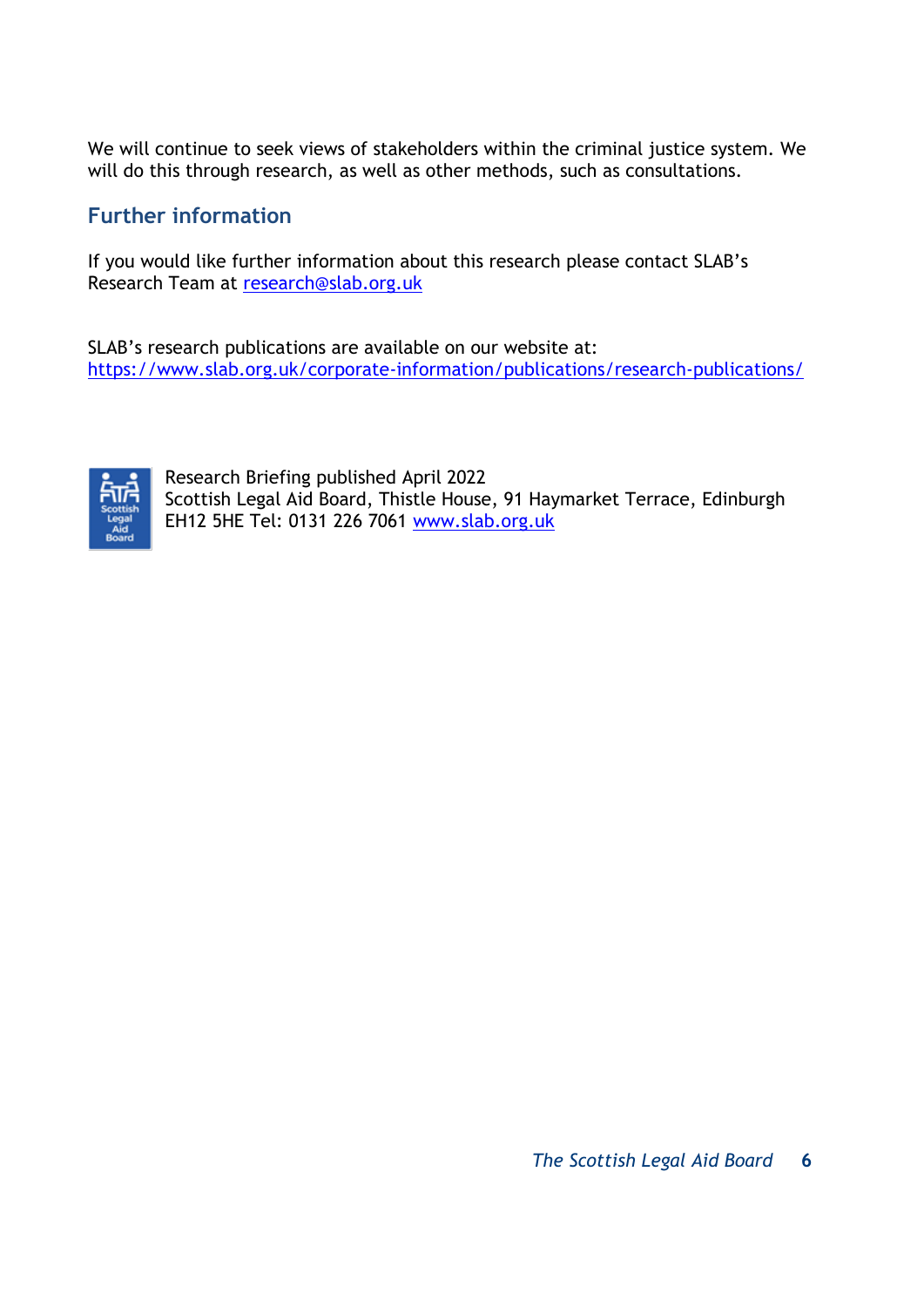We will continue to seek views of stakeholders within the criminal justice system. We will do this through research, as well as other methods, such as consultations.

## **Further information**

If you would like further information about this research please contact SLAB's Research Team at [research@slab.org.uk](mailto:research@slab.org.uk)

SLAB's research publications are available on our website at: <https://www.slab.org.uk/corporate-information/publications/research-publications/>



Research Briefing published April 2022 Scottish Legal Aid Board, Thistle House, 91 Haymarket Terrace, Edinburgh EH12 5HE Tel: 0131 226 7061 [www.slab.org.uk](http://www.slab.org.uk/)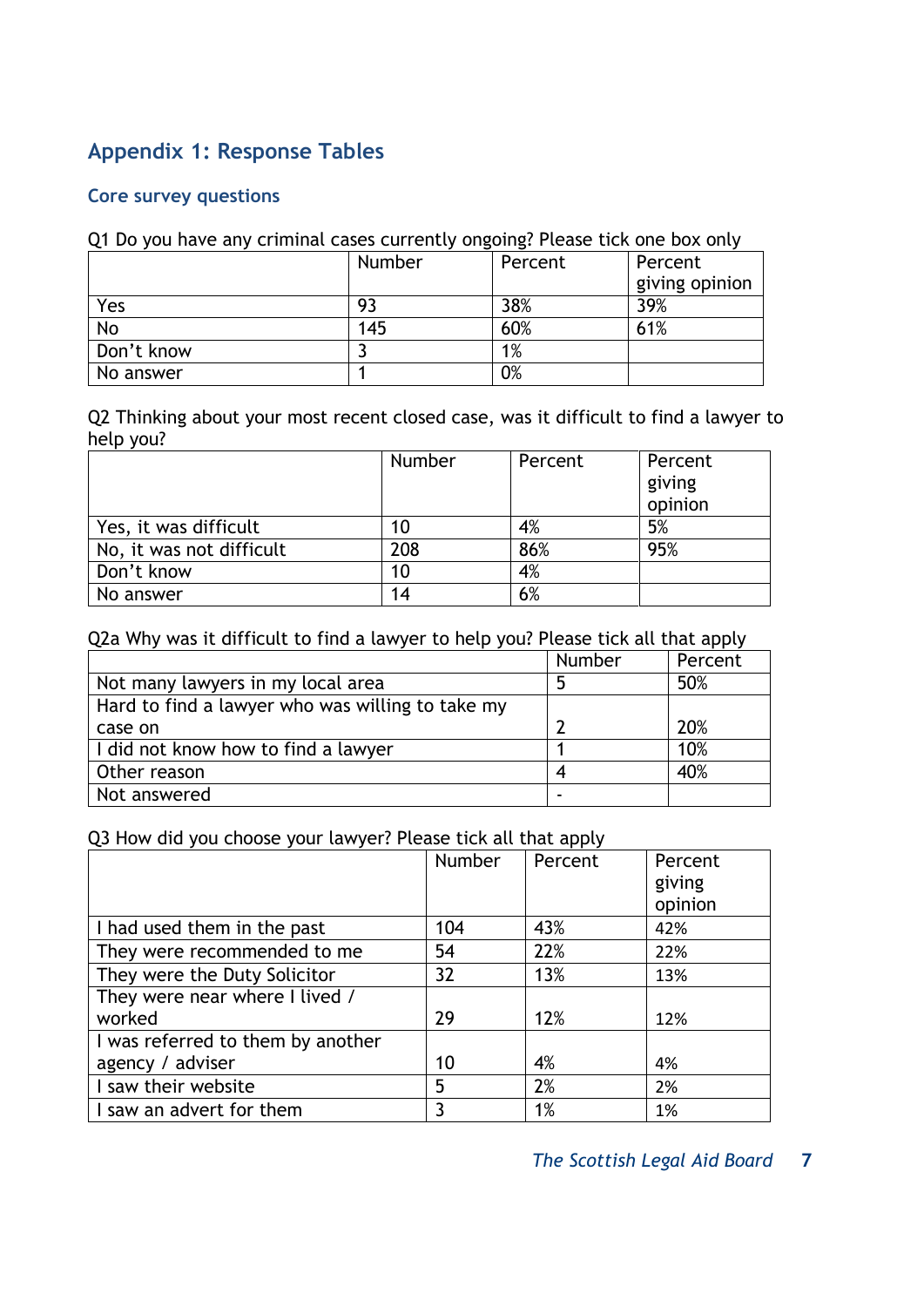## **Appendix 1: Response Tables**

#### **Core survey questions**

#### Q1 Do you have any criminal cases currently ongoing? Please tick one box only

|            | Number | Percent | Percent        |
|------------|--------|---------|----------------|
|            |        |         | giving opinion |
| Yes        | 93     | 38%     | 39%            |
| No         | 145    | 60%     | 61%            |
| Don't know |        | 1%      |                |
| No answer  |        | 0%      |                |

Q2 Thinking about your most recent closed case, was it difficult to find a lawyer to help you?

|                          | <b>Number</b> | Percent | Percent           |
|--------------------------|---------------|---------|-------------------|
|                          |               |         | giving<br>opinion |
| Yes, it was difficult    | 10            | 4%      | 5%                |
| No, it was not difficult | 208           | 86%     | 95%               |
| Don't know               | 10            | 4%      |                   |
| No answer                | 14            | 6%      |                   |

#### Q2a Why was it difficult to find a lawyer to help you? Please tick all that apply

|                                                  | <b>Number</b> | Percent |
|--------------------------------------------------|---------------|---------|
| Not many lawyers in my local area                |               | 50%     |
| Hard to find a lawyer who was willing to take my |               |         |
| case on                                          |               | 20%     |
| I did not know how to find a lawyer              |               | 10%     |
| Other reason                                     |               | 40%     |
| Not answered                                     |               |         |

#### Q3 How did you choose your lawyer? Please tick all that apply

|                                   | <b>Number</b> | Percent | Percent |
|-----------------------------------|---------------|---------|---------|
|                                   |               |         | giving  |
|                                   |               |         | opinion |
| I had used them in the past       | 104           | 43%     | 42%     |
| They were recommended to me       | 54            | 22%     | 22%     |
| They were the Duty Solicitor      | 32            | 13%     | 13%     |
| They were near where I lived /    |               |         |         |
| worked                            | 29            | 12%     | 12%     |
| I was referred to them by another |               |         |         |
| agency / adviser                  | 10            | 4%      | 4%      |
| I saw their website               | 5             | 2%      | 2%      |
| I saw an advert for them          | 3             | 1%      | 1%      |

*The Scottish Legal Aid Board* **7**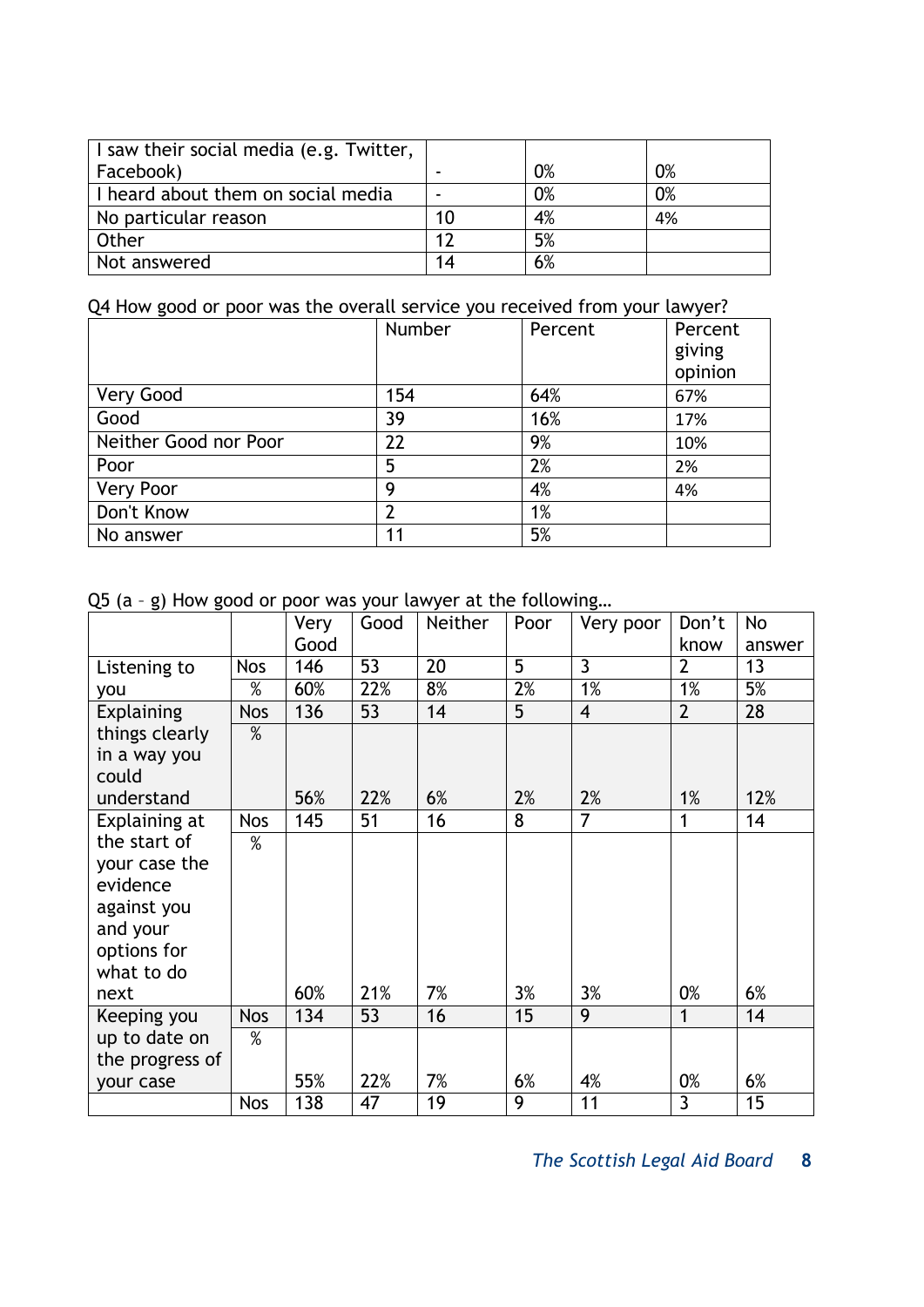| I saw their social media (e.g. Twitter, |    |    |    |
|-----------------------------------------|----|----|----|
| Facebook)                               |    | 0% | 0% |
| I heard about them on social media      |    | 0% | 0% |
| No particular reason                    | 10 | 4% | 4% |
| Other                                   | 17 | 5% |    |
| Not answered                            | 14 | 6% |    |

## Q4 How good or poor was the overall service you received from your lawyer?

|                       | Number | Percent | Percent<br>giving<br>opinion |
|-----------------------|--------|---------|------------------------------|
| Very Good             | 154    | 64%     | 67%                          |
| Good                  | 39     | 16%     | 17%                          |
| Neither Good nor Poor | 22     | 9%      | 10%                          |
| Poor                  | 5      | 2%      | 2%                           |
| <b>Very Poor</b>      | 9      | 4%      | 4%                           |
| Don't Know            |        | 1%      |                              |
| No answer             | 11     | 5%      |                              |

Q5 (a – g) How good or poor was your lawyer at the following…

|                 |            | Very | Good | <b>Neither</b> | Poor           | Very poor      | Don't          | No     |
|-----------------|------------|------|------|----------------|----------------|----------------|----------------|--------|
|                 |            | Good |      |                |                |                | know           | answer |
| Listening to    | <b>Nos</b> | 146  | 53   | 20             | $\overline{5}$ | $\overline{3}$ | $\overline{2}$ | 13     |
| you             | $\%$       | 60%  | 22%  | 8%             | 2%             | 1%             | 1%             | 5%     |
| Explaining      | <b>Nos</b> | 136  | 53   | 14             | 5              | $\overline{4}$ | $\overline{2}$ | 28     |
| things clearly  | %          |      |      |                |                |                |                |        |
| in a way you    |            |      |      |                |                |                |                |        |
| could           |            |      |      |                |                |                |                |        |
| understand      |            | 56%  | 22%  | 6%             | 2%             | 2%             | 1%             | 12%    |
| Explaining at   | <b>Nos</b> | 145  | 51   | 16             | 8              | $\overline{7}$ | 1              | 14     |
| the start of    | %          |      |      |                |                |                |                |        |
| your case the   |            |      |      |                |                |                |                |        |
| evidence        |            |      |      |                |                |                |                |        |
| against you     |            |      |      |                |                |                |                |        |
| and your        |            |      |      |                |                |                |                |        |
| options for     |            |      |      |                |                |                |                |        |
| what to do      |            |      |      |                |                |                |                |        |
| next            |            | 60%  | 21%  | 7%             | 3%             | 3%             | 0%             | 6%     |
| Keeping you     | <b>Nos</b> | 134  | 53   | 16             | 15             | $\overline{9}$ | 1              | 14     |
| up to date on   | %          |      |      |                |                |                |                |        |
| the progress of |            |      |      |                |                |                |                |        |
| your case       |            | 55%  | 22%  | 7%             | 6%             | 4%             | 0%             | 6%     |
|                 | <b>Nos</b> | 138  | 47   | 19             | 9              | 11             | 3              | 15     |

*The Scottish Legal Aid Board* **8**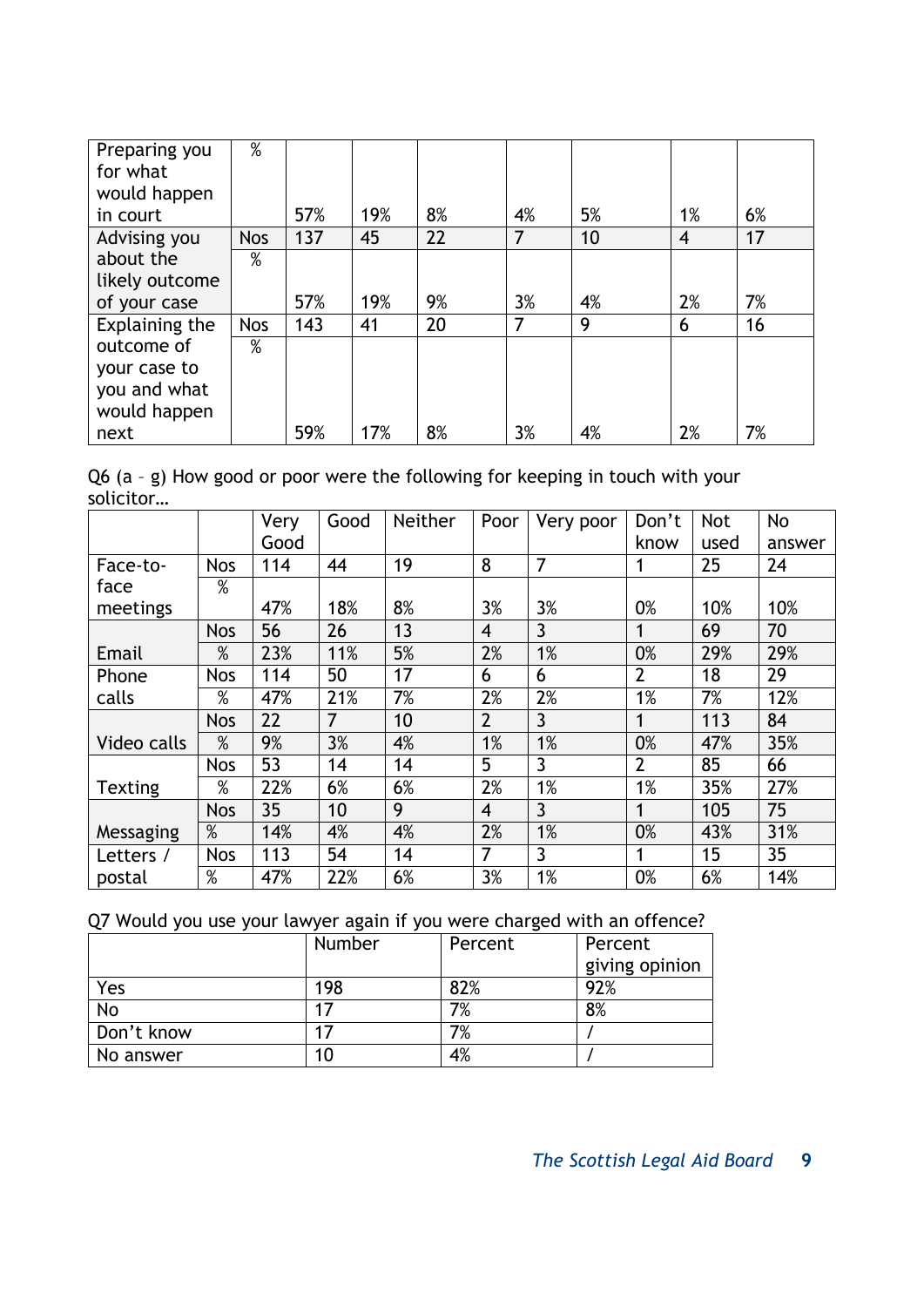| Preparing you  | $\%$       |     |     |    |    |    |    |    |
|----------------|------------|-----|-----|----|----|----|----|----|
| for what       |            |     |     |    |    |    |    |    |
| would happen   |            |     |     |    |    |    |    |    |
| in court       |            | 57% | 19% | 8% | 4% | 5% | 1% | 6% |
| Advising you   | <b>Nos</b> | 137 | 45  | 22 | 7  | 10 | 4  | 17 |
| about the      | %          |     |     |    |    |    |    |    |
| likely outcome |            |     |     |    |    |    |    |    |
| of your case   |            | 57% | 19% | 9% | 3% | 4% | 2% | 7% |
| Explaining the | <b>Nos</b> | 143 | 41  | 20 | 7  | 9  | 6  | 16 |
| outcome of     | %          |     |     |    |    |    |    |    |
| your case to   |            |     |     |    |    |    |    |    |
| you and what   |            |     |     |    |    |    |    |    |
| would happen   |            |     |     |    |    |    |    |    |
| next           |            | 59% | 17% | 8% | 3% | 4% | 2% | 7% |

Q6 (a – g) How good or poor were the following for keeping in touch with your solicitor…

|                |            | Very | Good           | Neither | Poor           | Very poor      | Don't          | <b>Not</b> | No     |
|----------------|------------|------|----------------|---------|----------------|----------------|----------------|------------|--------|
|                |            | Good |                |         |                |                | know           | used       | answer |
| Face-to-       | <b>Nos</b> | 114  | 44             | 19      | 8              | 7              |                | 25         | 24     |
| face           | $\%$       |      |                |         |                |                |                |            |        |
| meetings       |            | 47%  | 18%            | 8%      | 3%             | 3%             | 0%             | 10%        | 10%    |
|                | <b>Nos</b> | 56   | 26             | 13      | $\overline{4}$ | $\overline{3}$ |                | 69         | 70     |
| Email          | %          | 23%  | 11%            | 5%      | 2%             | 1%             | 0%             | 29%        | 29%    |
| Phone          | <b>Nos</b> | 114  | 50             | 17      | 6              | 6              | $\overline{2}$ | 18         | 29     |
| calls          | $\%$       | 47%  | 21%            | 7%      | 2%             | 2%             | 1%             | 7%         | 12%    |
|                | <b>Nos</b> | 22   | $\overline{7}$ | 10      | $\overline{2}$ | 3              |                | 113        | 84     |
| Video calls    | %          | 9%   | 3%             | 4%      | 1%             | 1%             | 0%             | 47%        | 35%    |
|                | <b>Nos</b> | 53   | 14             | 14      | 5              | 3              | $\overline{2}$ | 85         | 66     |
| <b>Texting</b> | %          | 22%  | 6%             | 6%      | 2%             | 1%             | 1%             | 35%        | 27%    |
|                | <b>Nos</b> | 35   | 10             | 9       | $\overline{4}$ | 3              | 1              | 105        | 75     |
| Messaging      | $\%$       | 14%  | 4%             | 4%      | 2%             | 1%             | 0%             | 43%        | 31%    |
| Letters /      | <b>Nos</b> | 113  | 54             | 14      | 7              | 3              |                | 15         | 35     |
| postal         | %          | 47%  | 22%            | 6%      | 3%             | 1%             | 0%             | 6%         | 14%    |

Q7 Would you use your lawyer again if you were charged with an offence?

|            | Number | Percent | Percent        |
|------------|--------|---------|----------------|
|            |        |         | giving opinion |
| Yes        | 198    | 82%     | 92%            |
| No         |        | 7%      | 8%             |
| Don't know |        | 7%      |                |
| No answer  | 10     | 4%      |                |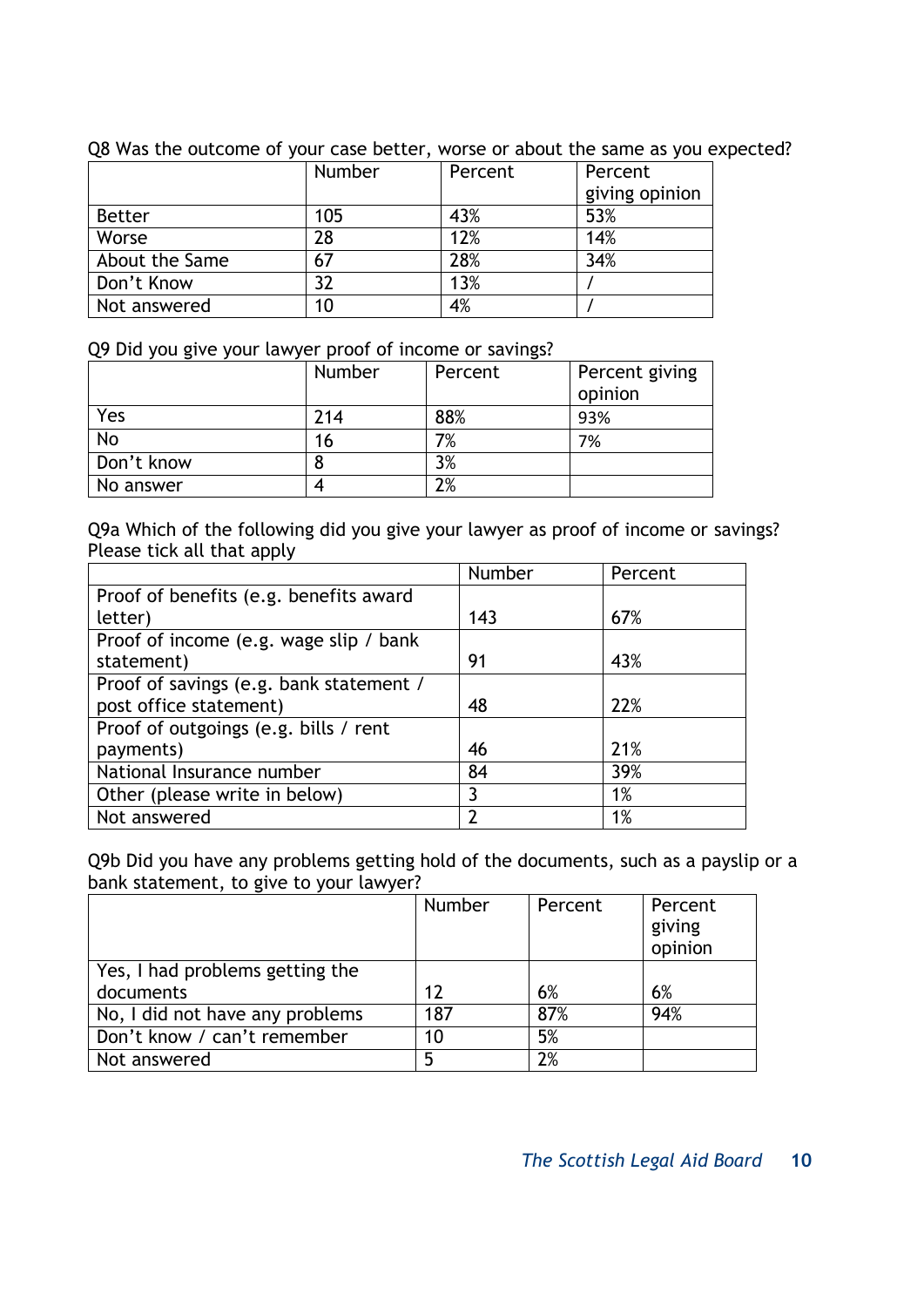|                | Number | Percent | Percent        |
|----------------|--------|---------|----------------|
|                |        |         | giving opinion |
| <b>Better</b>  | 105    | 43%     | 53%            |
| Worse          | 28     | 12%     | 14%            |
| About the Same | 67     | 28%     | 34%            |
| Don't Know     |        | 13%     |                |
| Not answered   | 10     | 4%      |                |

Q8 Was the outcome of your case better, worse or about the same as you expected?

Q9 Did you give your lawyer proof of income or savings?

|            | Number | Percent | Percent giving<br>opinion |
|------------|--------|---------|---------------------------|
| Yes        | 214    | 88%     | 93%                       |
| No         | 16     | 7%      | 7%                        |
| Don't know |        | 3%      |                           |
| No answer  |        | 2%      |                           |

Q9a Which of the following did you give your lawyer as proof of income or savings? Please tick all that apply

|                                         | Number | Percent |
|-----------------------------------------|--------|---------|
| Proof of benefits (e.g. benefits award  |        |         |
| letter)                                 | 143    | 67%     |
| Proof of income (e.g. wage slip / bank  |        |         |
| statement)                              | 91     | 43%     |
| Proof of savings (e.g. bank statement / |        |         |
| post office statement)                  | 48     | 22%     |
| Proof of outgoings (e.g. bills / rent   |        |         |
| payments)                               | 46     | 21%     |
| National Insurance number               | 84     | 39%     |
| Other (please write in below)           | 3      | 1%      |
| Not answered                            |        | 1%      |

Q9b Did you have any problems getting hold of the documents, such as a payslip or a bank statement, to give to your lawyer?

|                                 | Number | Percent | Percent<br>giving<br>opinion |
|---------------------------------|--------|---------|------------------------------|
| Yes, I had problems getting the |        |         |                              |
| documents                       | 12     | 6%      | 6%                           |
| No, I did not have any problems | 187    | 87%     | 94%                          |
| Don't know / can't remember     | 10     | 5%      |                              |
| Not answered                    | 5      | 2%      |                              |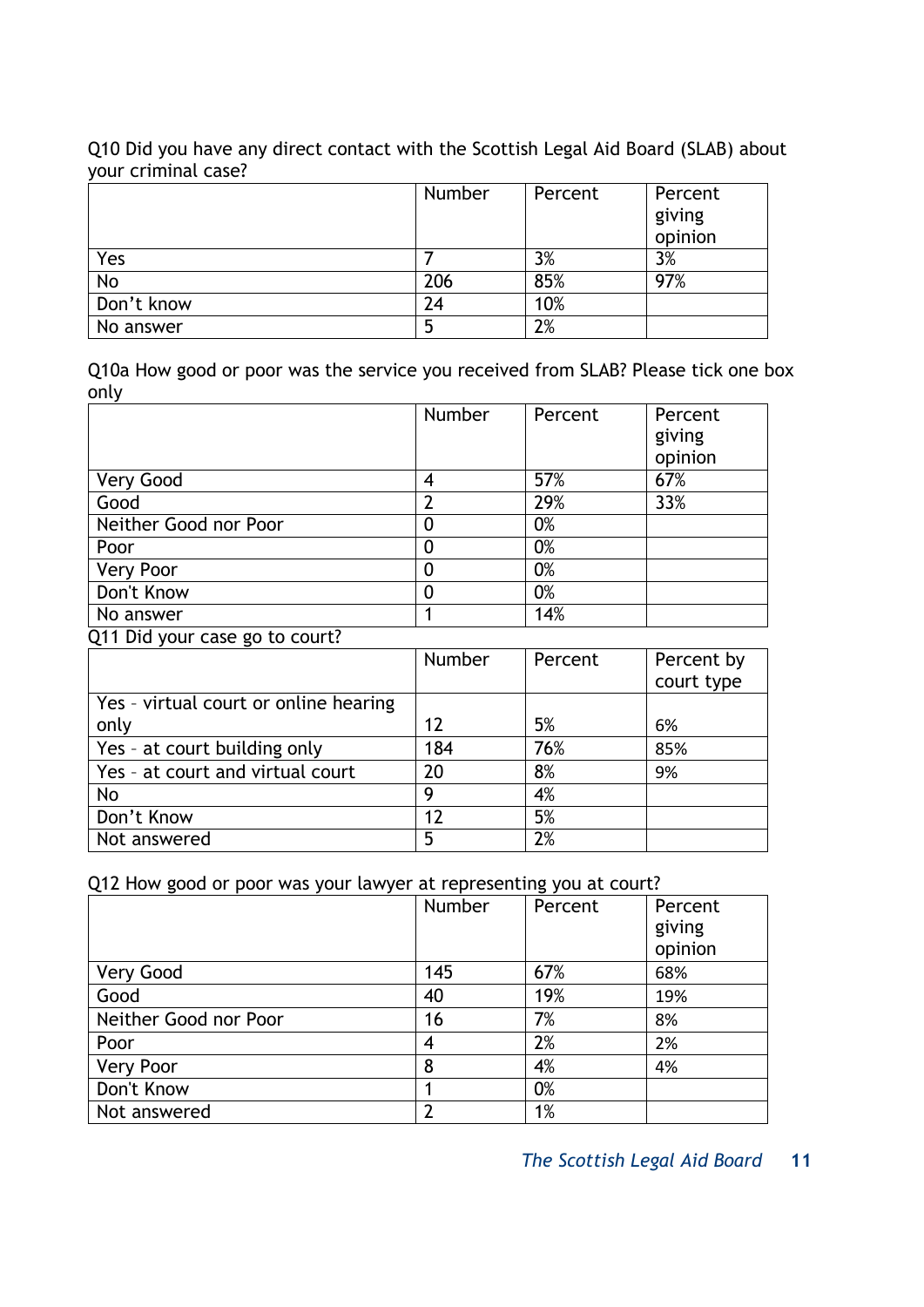Q10 Did you have any direct contact with the Scottish Legal Aid Board (SLAB) about your criminal case?

|            | Number | Percent | Percent |
|------------|--------|---------|---------|
|            |        |         | giving  |
|            |        |         | opinion |
| Yes        |        | 3%      | 3%      |
| <b>No</b>  | 206    | 85%     | 97%     |
| Don't know | 24     | 10%     |         |
| No answer  |        | 2%      |         |

Q10a How good or poor was the service you received from SLAB? Please tick one box only

|                       | Number | Percent | Percent |
|-----------------------|--------|---------|---------|
|                       |        |         | giving  |
|                       |        |         | opinion |
| Very Good             |        | 57%     | 67%     |
| Good                  |        | 29%     | 33%     |
| Neither Good nor Poor |        | 0%      |         |
| Poor                  |        | 0%      |         |
| <b>Very Poor</b>      |        | 0%      |         |
| Don't Know            |        | 0%      |         |
| No answer             |        | 14%     |         |

Q11 Did your case go to court?

|                                       | Number | Percent | Percent by |
|---------------------------------------|--------|---------|------------|
|                                       |        |         | court type |
| Yes - virtual court or online hearing |        |         |            |
| only                                  | 17     | 5%      | 6%         |
| Yes - at court building only          | 184    | 76%     | 85%        |
| Yes - at court and virtual court      | 20     | 8%      | 9%         |
| No                                    | g      | 4%      |            |
| Don't Know                            | 12     | 5%      |            |
| Not answered                          | 5      | 2%      |            |

Q12 How good or poor was your lawyer at representing you at court?

|                       | Number | Percent | Percent<br>giving<br>opinion |
|-----------------------|--------|---------|------------------------------|
| Very Good             | 145    | 67%     | 68%                          |
| Good                  | 40     | 19%     | 19%                          |
| Neither Good nor Poor | 16     | 7%      | 8%                           |
| Poor                  | 4      | 2%      | 2%                           |
| <b>Very Poor</b>      | 8      | 4%      | 4%                           |
| Don't Know            |        | 0%      |                              |
| Not answered          | າ      | 1%      |                              |

*The Scottish Legal Aid Board* **11**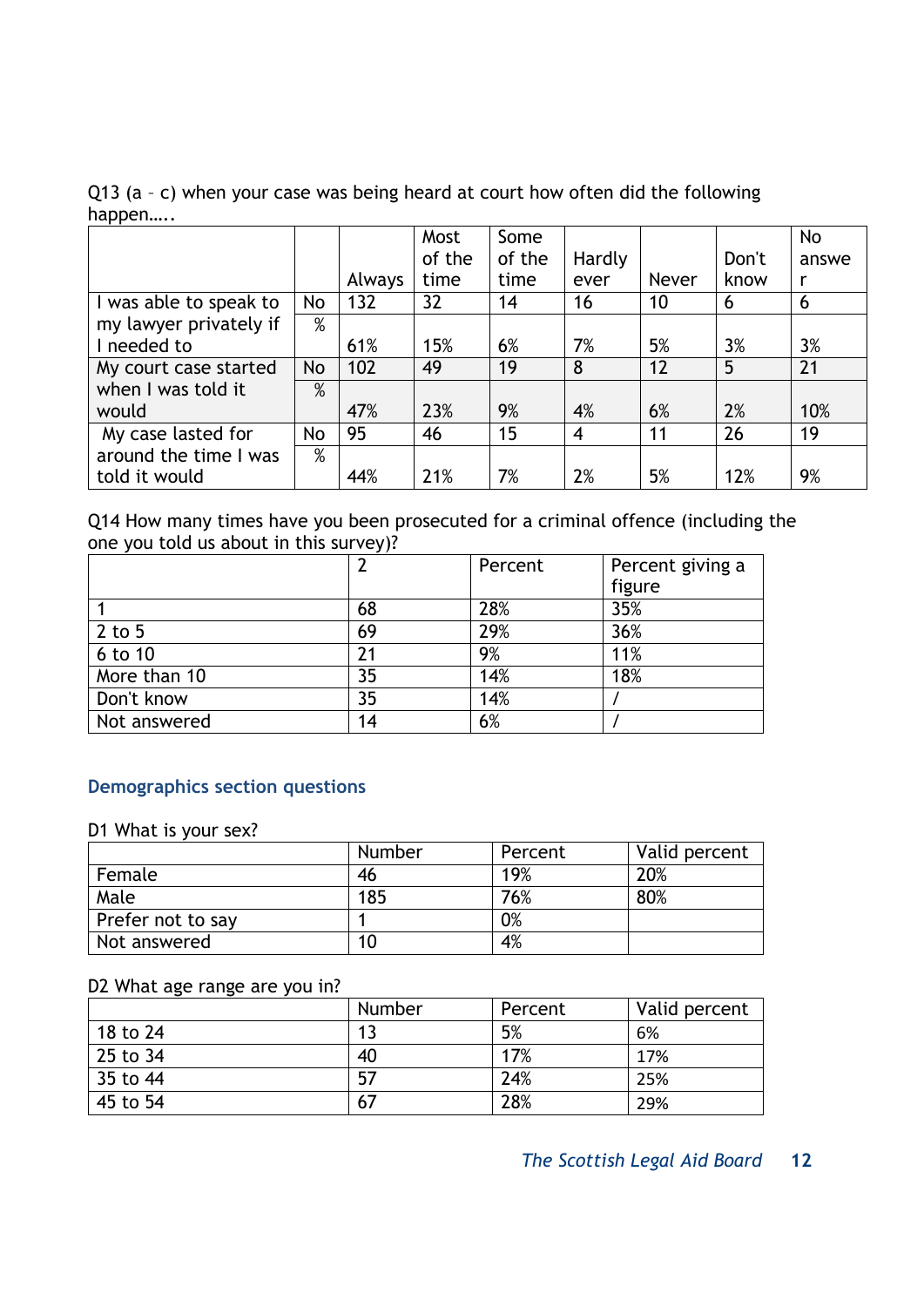Q13 (a – c) when your case was being heard at court how often did the following happen…..

|                        |      |        | Most   | Some   |        |       |       | <b>No</b> |
|------------------------|------|--------|--------|--------|--------|-------|-------|-----------|
|                        |      |        | of the | of the | Hardly |       | Don't | answe     |
|                        |      | Always | time   | time   | ever   | Never | know  | r         |
| I was able to speak to | No   | 132    | 32     | 14     | 16     | 10    | 6     | 6         |
| my lawyer privately if | $\%$ |        |        |        |        |       |       |           |
| I needed to            |      | 61%    | 15%    | 6%     | 7%     | 5%    | 3%    | 3%        |
| My court case started  | No   | 102    | 49     | 19     | 8      | 12    | 5     | 21        |
| when I was told it     | %    |        |        |        |        |       |       |           |
| would                  |      | 47%    | 23%    | 9%     | 4%     | 6%    | 2%    | 10%       |
| My case lasted for     | No   | 95     | 46     | 15     | 4      | 11    | 26    | 19        |
| around the time I was  | $\%$ |        |        |        |        |       |       |           |
| told it would          |      | 44%    | 21%    | 7%     | 2%     | 5%    | 12%   | 9%        |

Q14 How many times have you been prosecuted for a criminal offence (including the one you told us about in this survey)?

|              | 2  | Percent | Percent giving a |
|--------------|----|---------|------------------|
|              |    |         | figure           |
|              | 68 | 28%     | 35%              |
| $2$ to 5     | 69 | 29%     | 36%              |
| 6 to 10      | 21 | 9%      | 11%              |
| More than 10 | 35 | 14%     | 18%              |
| Don't know   | 35 | 14%     |                  |
| Not answered | 14 | 6%      |                  |

#### **Demographics section questions**

D1 What is your sex?

|                   | <b>Number</b> | Percent | Valid percent |
|-------------------|---------------|---------|---------------|
| Female            | 46            | 19%     | 20%           |
| Male              | 185           | 76%     | 80%           |
| Prefer not to say |               | 0%      |               |
| Not answered      | 10            | 4%      |               |

#### D2 What age range are you in?

|          | Number | Percent | Valid percent |
|----------|--------|---------|---------------|
| 18 to 24 | 1 থ    | 5%      | 6%            |
| 25 to 34 | 40     | 17%     | 17%           |
| 35 to 44 | 57     | 24%     | 25%           |
| 45 to 54 | 67     | 28%     | 29%           |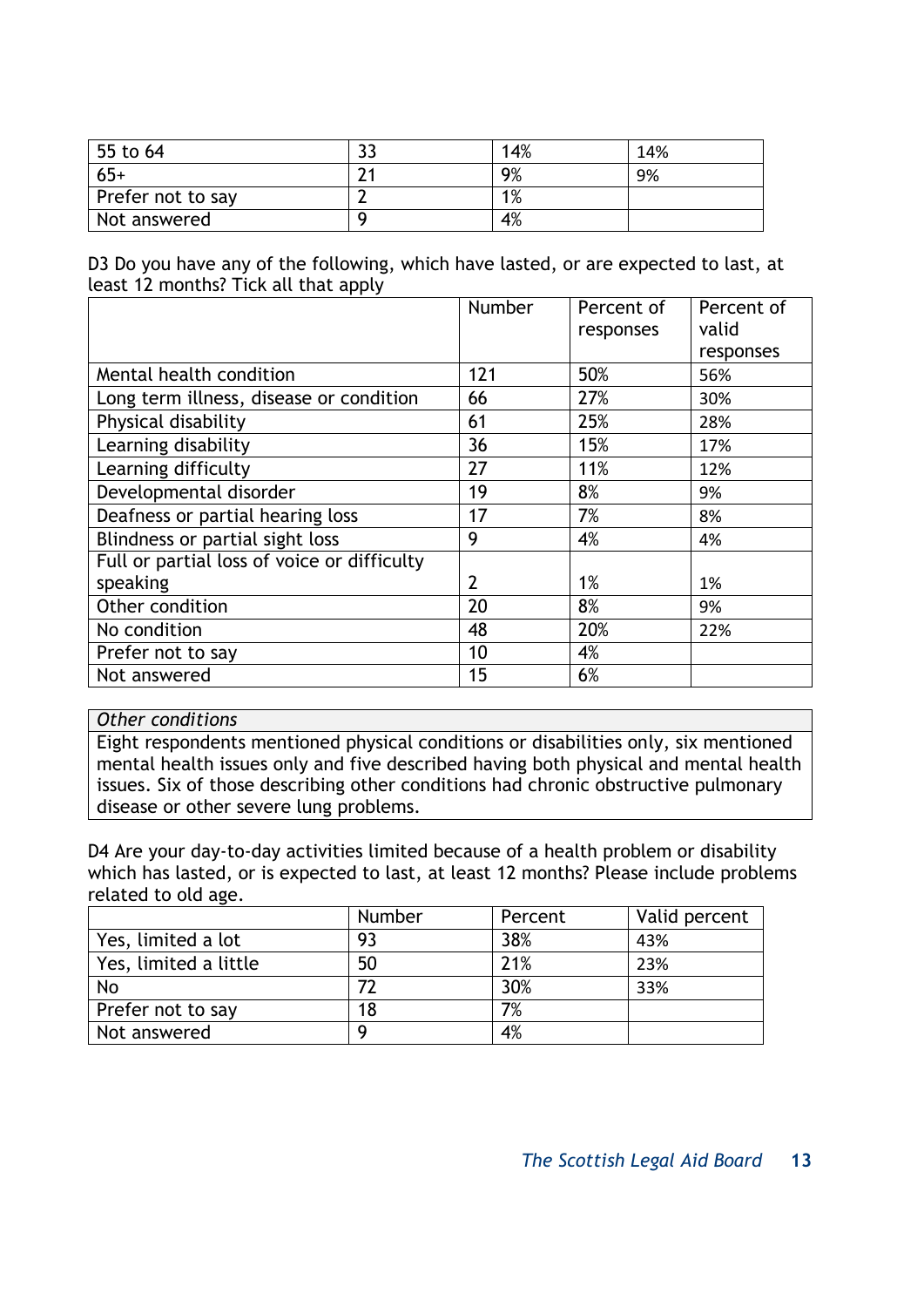| 55 to 64          | <u>JJ</u> | 14% | 14% |
|-------------------|-----------|-----|-----|
| $65+$             | ำ.        | 9%  | 9%  |
| Prefer not to say |           | 1%  |     |
| Not answered      |           | 4%  |     |

D3 Do you have any of the following, which have lasted, or are expected to last, at least 12 months? Tick all that apply

|                                             | <b>Number</b> | Percent of | Percent of |
|---------------------------------------------|---------------|------------|------------|
|                                             |               | responses  | valid      |
|                                             |               |            | responses  |
| Mental health condition                     | 121           | 50%        | 56%        |
| Long term illness, disease or condition     | 66            | 27%        | 30%        |
| Physical disability                         | 61            | 25%        | 28%        |
| Learning disability                         | 36            | 15%        | 17%        |
| Learning difficulty                         | 27            | 11%        | 12%        |
| Developmental disorder                      | 19            | 8%         | 9%         |
| Deafness or partial hearing loss            | 17            | 7%         | 8%         |
| Blindness or partial sight loss             | 9             | 4%         | 4%         |
| Full or partial loss of voice or difficulty |               |            |            |
| speaking                                    | 2             | 1%         | 1%         |
| Other condition                             | 20            | 8%         | 9%         |
| No condition                                | 48            | 20%        | 22%        |
| Prefer not to say                           | 10            | 4%         |            |
| Not answered                                | 15            | 6%         |            |

#### *Other conditions*

Eight respondents mentioned physical conditions or disabilities only, six mentioned mental health issues only and five described having both physical and mental health issues. Six of those describing other conditions had chronic obstructive pulmonary disease or other severe lung problems.

D4 Are your day-to-day activities limited because of a health problem or disability which has lasted, or is expected to last, at least 12 months? Please include problems related to old age.

|                       | <b>Number</b> | Percent | Valid percent |
|-----------------------|---------------|---------|---------------|
| Yes, limited a lot    | 93            | 38%     | 43%           |
| Yes, limited a little | 50            | 21%     | 23%           |
| <b>No</b>             | 77            | 30%     | 33%           |
| Prefer not to say     | 18            | 7%      |               |
| Not answered          | Q             | 4%      |               |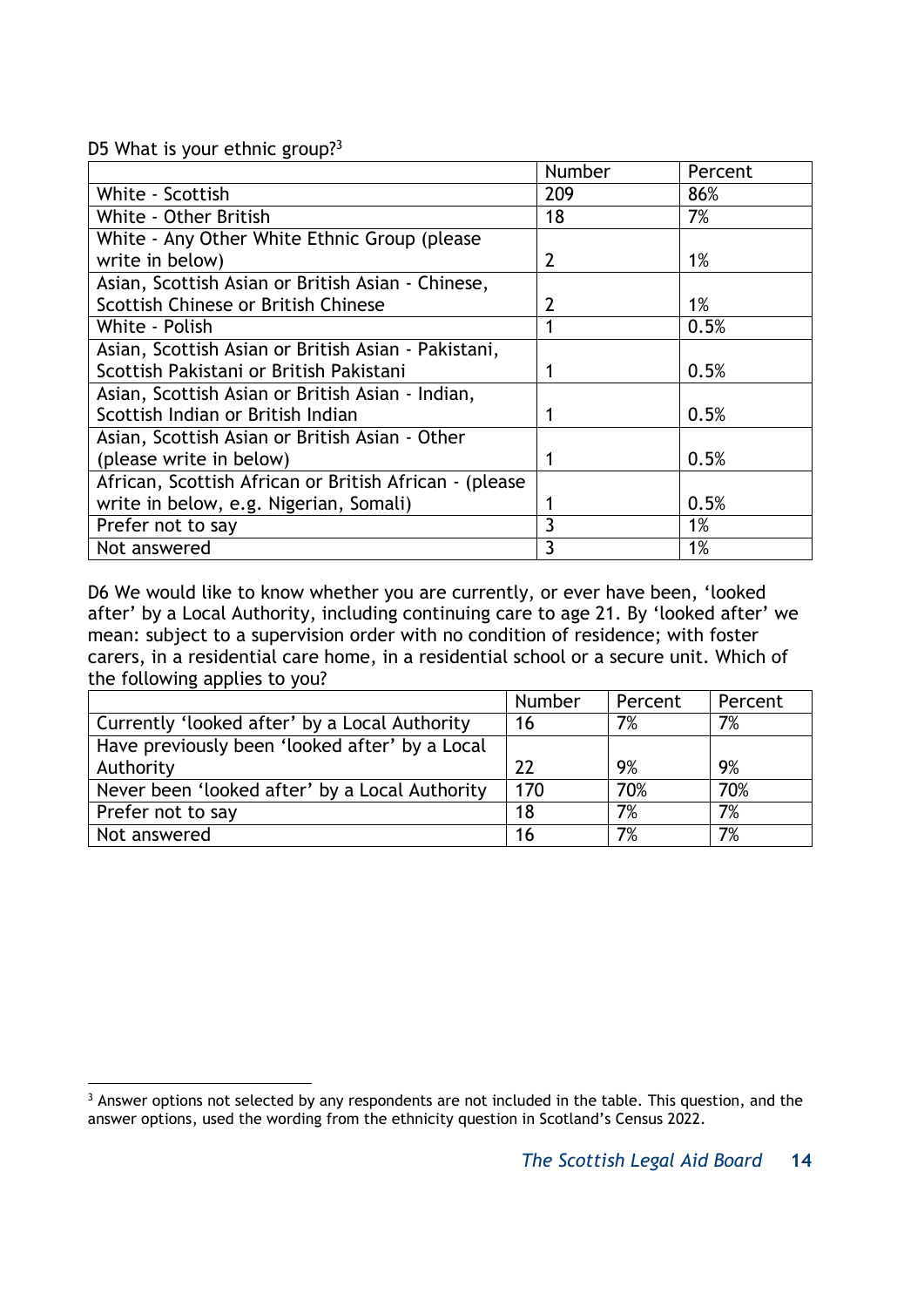#### D5 What is your ethnic group?<sup>3</sup>

|                                                        | Number | Percent |
|--------------------------------------------------------|--------|---------|
| White - Scottish                                       | 209    | 86%     |
| White - Other British                                  | 18     | 7%      |
| White - Any Other White Ethnic Group (please           |        |         |
| write in below)                                        | 2      | 1%      |
| Asian, Scottish Asian or British Asian - Chinese,      |        |         |
| Scottish Chinese or British Chinese                    | 2      | 1%      |
| White - Polish                                         |        | 0.5%    |
| Asian, Scottish Asian or British Asian - Pakistani,    |        |         |
| Scottish Pakistani or British Pakistani                |        | 0.5%    |
| Asian, Scottish Asian or British Asian - Indian,       |        |         |
| Scottish Indian or British Indian                      |        | 0.5%    |
| Asian, Scottish Asian or British Asian - Other         |        |         |
| (please write in below)                                |        | 0.5%    |
| African, Scottish African or British African - (please |        |         |
| write in below, e.g. Nigerian, Somali)                 |        | 0.5%    |
| Prefer not to say                                      | 3      | 1%      |
| Not answered                                           | 3      | 1%      |

D6 We would like to know whether you are currently, or ever have been, 'looked after' by a Local Authority, including continuing care to age 21. By 'looked after' we mean: subject to a supervision order with no condition of residence; with foster carers, in a residential care home, in a residential school or a secure unit. Which of the following applies to you?

|                                                | Number | Percent | Percent |
|------------------------------------------------|--------|---------|---------|
| Currently 'looked after' by a Local Authority  | 16     | 7%      | 7%      |
| Have previously been 'looked after' by a Local |        |         |         |
| Authority                                      | 22     | 9%      | 9%      |
| Never been 'looked after' by a Local Authority | 170    | 70%     | 70%     |
| Prefer not to say                              | 18     | 7%      | 7%      |
| Not answered                                   | 16     | 7%      | 7%      |

<sup>-</sup><sup>3</sup> Answer options not selected by any respondents are not included in the table. This question, and the answer options, used the wording from the ethnicity question in Scotland's Census 2022.